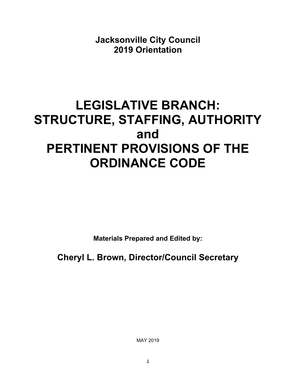**Jacksonville City Council 2019 Orientation**

# **LEGISLATIVE BRANCH: STRUCTURE, STAFFING, AUTHORITY and PERTINENT PROVISIONS OF THE ORDINANCE CODE**

**Materials Prepared and Edited by:** 

**Cheryl L. Brown, Director/Council Secretary** 

MAY 2019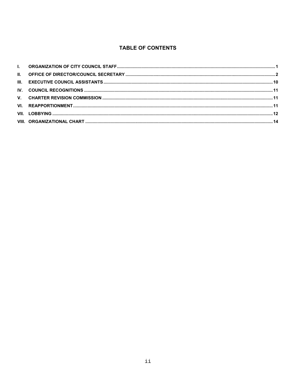# **TABLE OF CONTENTS**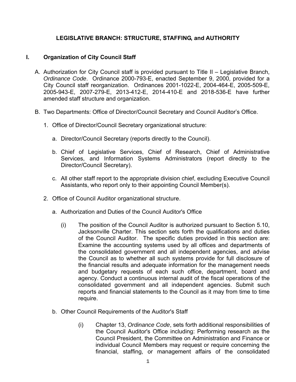# **LEGISLATIVE BRANCH: STRUCTURE, STAFFING, and AUTHORITY**

# **I. Organization of City Council Staff**

- A. Authorization for City Council staff is provided pursuant to Title II Legislative Branch, *Ordinance Code*. Ordinance 2000-793-E, enacted September 9, 2000, provided for a City Council staff reorganization. Ordinances 2001-1022-E, 2004-464-E, 2005-509-E, 2005-943-E, 2007-279-E, 2013-412-E, 2014-410-E and 2018-536-E have further amended staff structure and organization.
- B. Two Departments: Office of Director/Council Secretary and Council Auditor's Office.
	- 1. Office of Director/Council Secretary organizational structure:
		- a. Director/Council Secretary (reports directly to the Council).
		- b. Chief of Legislative Services, Chief of Research, Chief of Administrative Services, and Information Systems Administrators (report directly to the Director/Council Secretary).
		- c. All other staff report to the appropriate division chief, excluding Executive Council Assistants, who report only to their appointing Council Member(s).
	- 2. Office of Council Auditor organizational structure.
		- a. Authorization and Duties of the Council Auditor's Office
			- (i) The position of the Council Auditor is authorized pursuant to Section 5.10, Jacksonville Charter. This section sets forth the qualifications and duties of the Council Auditor. The specific duties provided in this section are: Examine the accounting systems used by all offices and departments of the consolidated government and all independent agencies, and advise the Council as to whether all such systems provide for full disclosure of the financial results and adequate information for the management needs and budgetary requests of each such office, department, board and agency. Conduct a continuous internal audit of the fiscal operations of the consolidated government and all independent agencies. Submit such reports and financial statements to the Council as it may from time to time require.
		- b. Other Council Requirements of the Auditor's Staff
			- (i) Chapter 13, *Ordinance Code*, sets forth additional responsibilities of the Council Auditor's Office including: Performing research as the Council President, the Committee on Administration and Finance or individual Council Members may request or require concerning the financial, staffing, or management affairs of the consolidated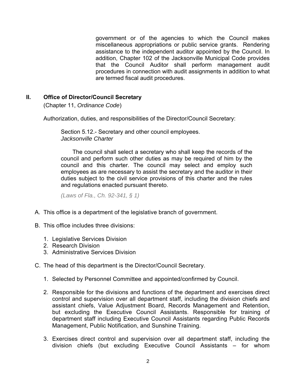government or of the agencies to which the Council makes miscellaneous appropriations or public service grants. Rendering assistance to the independent auditor appointed by the Council. In addition, Chapter 102 of the Jacksonville Municipal Code provides that the Council Auditor shall perform management audit procedures in connection with audit assignments in addition to what are termed fiscal audit procedures.

# **II. Office of Director/Council Secretary**

(Chapter 11, *Ordinance Code*)

Authorization, duties, and responsibilities of the Director/Council Secretary:

Section 5.12.- Secretary and other council employees. *Jacksonville Charter*

The council shall select a secretary who shall keep the records of the council and perform such other duties as may be required of him by the council and this charter. The council may select and employ such employees as are necessary to assist the secretary and the auditor in their duties subject to the civil service provisions of this charter and the rules and regulations enacted pursuant thereto.

*(Laws of Fla., Ch. 92-341, § 1)* 

- A. This office is a department of the legislative branch of government.
- B. This office includes three divisions:
	- 1. Legislative Services Division
	- 2. Research Division
	- 3. Administrative Services Division
- C. The head of this department is the Director/Council Secretary.
	- 1. Selected by Personnel Committee and appointed/confirmed by Council.
	- 2. Responsible for the divisions and functions of the department and exercises direct control and supervision over all department staff, including the division chiefs and assistant chiefs, Value Adjustment Board, Records Management and Retention, but excluding the Executive Council Assistants. Responsible for training of department staff including Executive Council Assistants regarding Public Records Management, Public Notification, and Sunshine Training.
	- 3. Exercises direct control and supervision over all department staff, including the division chiefs (but excluding Executive Council Assistants – for whom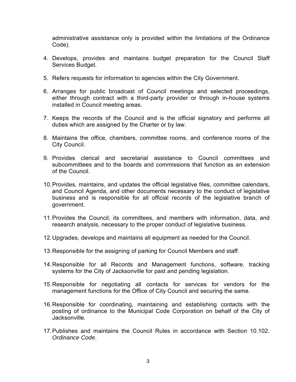administrative assistance only is provided within the limitations of the Ordinance Code).

- 4. Develops, provides and maintains budget preparation for the Council Staff Services Budget.
- 5. Refers requests for information to agencies within the City Government.
- 6. Arranges for public broadcast of Council meetings and selected proceedings, either through contract with a third-party provider or through in-house systems installed in Council meeting areas.
- 7. Keeps the records of the Council and is the official signatory and performs all duties which are assigned by the Charter or by law.
- 8. Maintains the office, chambers, committee rooms, and conference rooms of the City Council.
- 9. Provides clerical and secretarial assistance to Council committees and subcommittees and to the boards and commissions that function as an extension of the Council.
- 10. Provides, maintains, and updates the official legislative files, committee calendars, and Council Agenda, and other documents necessary to the conduct of legislative business and is responsible for all official records of the legislative branch of government.
- 11. Provides the Council, its committees, and members with information, data, and research analysis, necessary to the proper conduct of legislative business.
- 12. Upgrades, develops and maintains all equipment as needed for the Council.
- 13. Responsible for the assigning of parking for Council Members and staff.
- 14. Responsible for all Records and Management functions, software, tracking systems for the City of Jacksonville for past and pending legislation.
- 15. Responsible for negotiating all contacts for services for vendors for the management functions for the Office of City Council and securing the same.
- 16. Responsible for coordinating, maintaining and establishing contacts with the posting of ordinance to the Municipal Code Corporation on behalf of the City of Jacksonville.
- 17. Publishes and maintains the Council Rules in accordance with Section 10.102. *Ordinance Code*.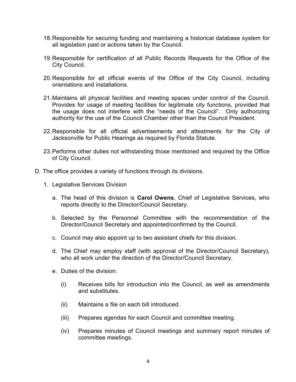- 18. Responsible for securing funding and maintaining a historical database system for all legislation past or actions taken by the Council.
- 19. Responsible for certification of all Public Records Requests for the Office of the City Council.
- 20. Responsible for all official events of the Office of the City Council, including orientations and installations.
- 21. Maintains all physical facilities and meeting spaces under control of the Council. Provides for usage of meeting facilities for legitimate city functions, provided that the usage does not interfere with the "needs of the Council". Only authorizing authority for the use of the Council Chamber other than the Council President.
- 22. Responsible for all official advertisements and attestments for the City of Jacksonville for Public Hearings as required by Florida Statute.
- 23. Performs other duties not withstanding those mentioned and required by the Office of City Council.
- D. The office provides a variety of functions through its divisions.
	- 1. Legislative Services Division
		- a. The head of this division is **Carol Owens**, Chief of Legislative Services, who reports directly to the Director/Council Secretary.
		- b. Selected by the Personnel Committee with the recommendation of the Director/Council Secretary and appointed/confirmed by the Council.
		- c. Council may also appoint up to two assistant chiefs for this division.
		- d. The Chief may employ staff (with approval of the Director/Council Secretary), who all work under the direction of the Director/Council Secretary.
		- e. Duties of the division:
			- (i) Receives bills for introduction into the Council, as well as amendments and substitutes.
			- (ii) Maintains a file on each bill introduced.
			- (iii) Prepares agendas for each Council and committee meeting.
			- (iv) Prepares minutes of Council meetings and summary report minutes of committee meetings.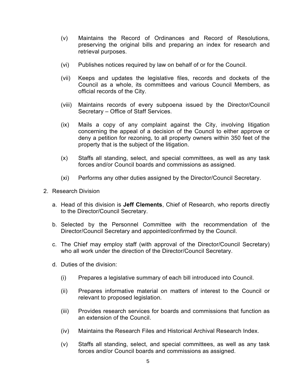- (v) Maintains the Record of Ordinances and Record of Resolutions, preserving the original bills and preparing an index for research and retrieval purposes.
- (vi) Publishes notices required by law on behalf of or for the Council.
- (vii) Keeps and updates the legislative files, records and dockets of the Council as a whole, its committees and various Council Members, as official records of the City.
- (viii) Maintains records of every subpoena issued by the Director/Council Secretary – Office of Staff Services.
- (ix) Mails a copy of any complaint against the City, involving litigation concerning the appeal of a decision of the Council to either approve or deny a petition for rezoning, to all property owners within 350 feet of the property that is the subject of the litigation.
- (x) Staffs all standing, select, and special committees, as well as any task forces and/or Council boards and commissions as assigned.
- (xi) Performs any other duties assigned by the Director/Council Secretary.
- 2. Research Division
	- a. Head of this division is **Jeff Clements**, Chief of Research, who reports directly to the Director/Council Secretary.
	- b. Selected by the Personnel Committee with the recommendation of the Director/Council Secretary and appointed/confirmed by the Council.
	- c. The Chief may employ staff (with approval of the Director/Council Secretary) who all work under the direction of the Director/Council Secretary.
	- d. Duties of the division:
		- (i) Prepares a legislative summary of each bill introduced into Council.
		- (ii) Prepares informative material on matters of interest to the Council or relevant to proposed legislation.
		- (iii) Provides research services for boards and commissions that function as an extension of the Council.
		- (iv) Maintains the Research Files and Historical Archival Research Index.
		- (v) Staffs all standing, select, and special committees, as well as any task forces and/or Council boards and commissions as assigned.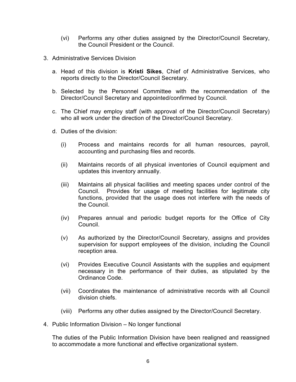- (vi) Performs any other duties assigned by the Director/Council Secretary, the Council President or the Council.
- 3. Administrative Services Division
	- a. Head of this division is **Kristi Sikes**, Chief of Administrative Services, who reports directly to the Director/Council Secretary.
	- b. Selected by the Personnel Committee with the recommendation of the Director/Council Secretary and appointed/confirmed by Council.
	- c. The Chief may employ staff (with approval of the Director/Council Secretary) who all work under the direction of the Director/Council Secretary.
	- d. Duties of the division:
		- (i) Process and maintains records for all human resources, payroll, accounting and purchasing files and records.
		- (ii) Maintains records of all physical inventories of Council equipment and updates this inventory annually.
		- (iii) Maintains all physical facilities and meeting spaces under control of the Council. Provides for usage of meeting facilities for legitimate city functions, provided that the usage does not interfere with the needs of the Council.
		- (iv) Prepares annual and periodic budget reports for the Office of City Council.
		- (v) As authorized by the Director/Council Secretary, assigns and provides supervision for support employees of the division, including the Council reception area.
		- (vi) Provides Executive Council Assistants with the supplies and equipment necessary in the performance of their duties, as stipulated by the Ordinance Code.
		- (vii) Coordinates the maintenance of administrative records with all Council division chiefs.
		- (viii) Performs any other duties assigned by the Director/Council Secretary.
- 4. Public Information Division No longer functional

The duties of the Public Information Division have been realigned and reassigned to accommodate a more functional and effective organizational system.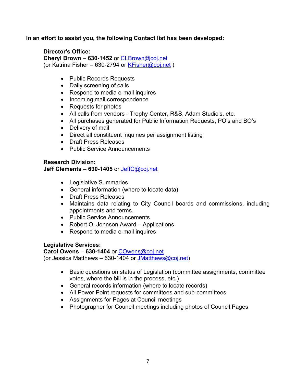# **In an effort to assist you, the following Contact list has been developed:**

# **Director's Office:**

**Cheryl Brown** – **630-1452** or CLBrown@coj.net (or Katrina Fisher – 630-2794 or  $KFisher@coj.net$ )

- Public Records Requests
- Daily screening of calls
- Respond to media e-mail inquires
- Incoming mail correspondence
- Requests for photos
- All calls from vendors Trophy Center, R&S, Adam Studio's, etc.
- All purchases generated for Public Information Requests, PO's and BO's
- Delivery of mail
- Direct all constituent inquiries per assignment listing
- Draft Press Releases
- Public Service Announcements

# **Research Division:**

**Jeff Clements** – **630-1405** or JeffC@coj.net

- Legislative Summaries
- General information (where to locate data)
- Draft Press Releases
- Maintains data relating to City Council boards and commissions, including appointments and terms.
- Public Service Announcements
- Robert O. Johnson Award Applications
- Respond to media e-mail inquires

# **Legislative Services:**

**Carol Owens** – **630-1404** or COwens@coj.net (or Jessica Matthews  $-630-1404$  or JMatthews@coj.net)

- Basic questions on status of Legislation (committee assignments, committee votes, where the bill is in the process, etc.)
- General records information (where to locate records)
- All Power Point requests for committees and sub-committees
- Assignments for Pages at Council meetings
- Photographer for Council meetings including photos of Council Pages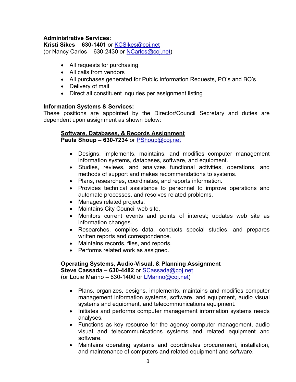# **Administrative Services:**

**Kristi Sikes** – **630-1401** or KCSikes@coj.net (or Nancy Carlos – 630-2430 or  $NCarlos@coj.net$ )

- All requests for purchasing
- All calls from vendors
- All purchases generated for Public Information Requests, PO's and BO's
- Delivery of mail
- Direct all constituent inquiries per assignment listing

# **Information Systems & Services:**

These positions are appointed by the Director/Council Secretary and duties are dependent upon assignment as shown below:

# **Software, Databases, & Records Assignment**

**Paula Shoup – 630-7234** or PShoup@coj.net

- Designs, implements, maintains, and modifies computer management information systems, databases, software, and equipment.
- Studies, reviews, and analyzes functional activities, operations, and methods of support and makes recommendations to systems.
- Plans, researches, coordinates, and reports information.
- Provides technical assistance to personnel to improve operations and automate processes, and resolves related problems.
- Manages related projects.
- Maintains City Council web site.
- Monitors current events and points of interest; updates web site as information changes.
- Researches, compiles data, conducts special studies, and prepares written reports and correspondence.
- Maintains records, files, and reports.
- Performs related work as assigned.

# **Operating Systems, Audio-Visual, & Planning Assignment**

**Steve Cassada – 630-4482** or SCassada@coj.net (or Louie Marino – 630-1400 or  $LMarino@coj.net$ )

- Plans, organizes, designs, implements, maintains and modifies computer management information systems, software, and equipment, audio visual systems and equipment, and telecommunications equipment.
- Initiates and performs computer management information systems needs analyses.
- Functions as key resource for the agency computer management, audio visual and telecommunications systems and related equipment and software.
- Maintains operating systems and coordinates procurement, installation, and maintenance of computers and related equipment and software.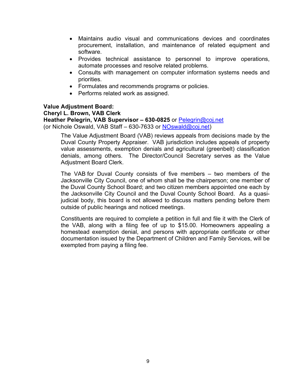- Maintains audio visual and communications devices and coordinates procurement, installation, and maintenance of related equipment and software.
- Provides technical assistance to personnel to improve operations, automate processes and resolve related problems.
- Consults with management on computer information systems needs and priorities.
- Formulates and recommends programs or policies.
- Performs related work as assigned.

### **Value Adjustment Board:**

#### **Cheryl L. Brown, VAB Clerk**

**Heather Pelegrin, VAB Supervisor – 630-0825** or Pelegrin@coj.net

(or Nichole Oswald, VAB Staff – 630-7633 or NOswald@coj.net)

The Value Adjustment Board (VAB) reviews appeals from decisions made by the Duval County Property Appraiser. VAB jurisdiction includes appeals of property value assessments, exemption denials and agricultural (greenbelt) classification denials, among others. The Director/Council Secretary serves as the Value Adjustment Board Clerk.

The VAB for Duval County consists of five members – two members of the Jacksonville City Council, one of whom shall be the chairperson; one member of the Duval County School Board; and two citizen members appointed one each by the Jacksonville City Council and the Duval County School Board. As a quasijudicial body, this board is not allowed to discuss matters pending before them outside of public hearings and noticed meetings.

Constituents are required to complete a petition in full and file it with the Clerk of the VAB, along with a filing fee of up to \$15.00. Homeowners appealing a homestead exemption denial, and persons with appropriate certificate or other documentation issued by the Department of Children and Family Services, will be exempted from paying a filing fee.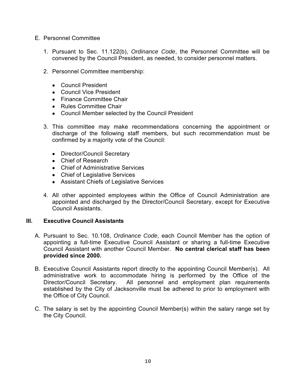- E. Personnel Committee
	- 1. Pursuant to Sec. 11.122(b), *Ordinance Code*, the Personnel Committee will be convened by the Council President, as needed, to consider personnel matters.
	- 2. Personnel Committee membership:
		- Council President
		- Council Vice President
		- Finance Committee Chair
		- Rules Committee Chair
		- Council Member selected by the Council President
	- 3. This committee may make recommendations concerning the appointment or discharge of the following staff members, but such recommendation must be confirmed by a majority vote of the Council:
		- Director/Council Secretary
		- Chief of Research
		- Chief of Administrative Services
		- Chief of Legislative Services
		- Assistant Chiefs of Legislative Services
	- 4. All other appointed employees within the Office of Council Administration are appointed and discharged by the Director/Council Secretary, except for Executive Council Assistants.

## **III. Executive Council Assistants**

- A. Pursuant to Sec. 10.108, *Ordinance Code*, each Council Member has the option of appointing a full-time Executive Council Assistant or sharing a full-time Executive Council Assistant with another Council Member. **No central clerical staff has been provided since 2000.**
- B. Executive Council Assistants report directly to the appointing Council Member(s). All administrative work to accommodate hiring is performed by the Office of the Director/Council Secretary. All personnel and employment plan requirements established by the City of Jacksonville must be adhered to prior to employment with the Office of City Council.
- C. The salary is set by the appointing Council Member(s) within the salary range set by the City Council.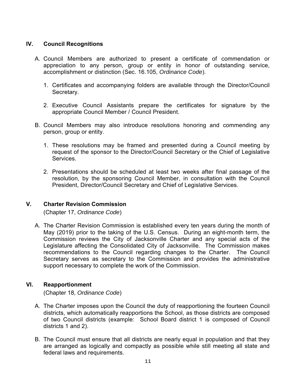# **IV. Council Recognitions**

- A. Council Members are authorized to present a certificate of commendation or appreciation to any person, group or entity in honor of outstanding service, accomplishment or distinction (Sec. 16.105, *Ordinance Code*).
	- 1. Certificates and accompanying folders are available through the Director/Council Secretary.
	- 2. Executive Council Assistants prepare the certificates for signature by the appropriate Council Member / Council President.
- B. Council Members may also introduce resolutions honoring and commending any person, group or entity.
	- 1. These resolutions may be framed and presented during a Council meeting by request of the sponsor to the Director/Council Secretary or the Chief of Legislative Services.
	- 2. Presentations should be scheduled at least two weeks after final passage of the resolution, by the sponsoring Council Member, in consultation with the Council President, Director/Council Secretary and Chief of Legislative Services.

## **V. Charter Revision Commission**

(Chapter 17, *Ordinance Code*)

A. The Charter Revision Commission is established every ten years during the month of May (2019) prior to the taking of the U.S. Census. During an eight-month term, the Commission reviews the City of Jacksonville Charter and any special acts of the Legislature affecting the Consolidated City of Jacksonville. The Commission makes recommendations to the Council regarding changes to the Charter. The Council Secretary serves as secretary to the Commission and provides the administrative support necessary to complete the work of the Commission.

## **VI. Reapportionment**

(Chapter 18, *Ordinance Code*)

- A. The Charter imposes upon the Council the duty of reapportioning the fourteen Council districts, which automatically reapportions the School, as those districts are composed of two Council districts (example: School Board district 1 is composed of Council districts 1 and 2).
- B. The Council must ensure that all districts are nearly equal in population and that they are arranged as logically and compactly as possible while still meeting all state and federal laws and requirements.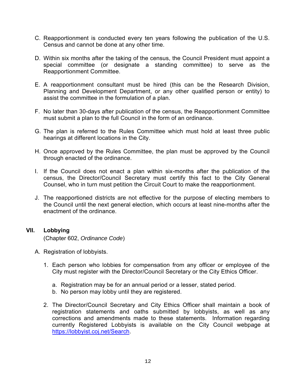- C. Reapportionment is conducted every ten years following the publication of the U.S. Census and cannot be done at any other time.
- D. Within six months after the taking of the census, the Council President must appoint a special committee (or designate a standing committee) to serve as the Reapportionment Committee.
- E. A reapportionment consultant must be hired (this can be the Research Division, Planning and Development Department, or any other qualified person or entity) to assist the committee in the formulation of a plan.
- F. No later than 30-days after publication of the census, the Reapportionment Committee must submit a plan to the full Council in the form of an ordinance.
- G. The plan is referred to the Rules Committee which must hold at least three public hearings at different locations in the City.
- H. Once approved by the Rules Committee, the plan must be approved by the Council through enacted of the ordinance.
- I. If the Council does not enact a plan within six-months after the publication of the census, the Director/Council Secretary must certify this fact to the City General Counsel, who in turn must petition the Circuit Court to make the reapportionment.
- J. The reapportioned districts are not effective for the purpose of electing members to the Council until the next general election, which occurs at least nine-months after the enactment of the ordinance.

# **VII. Lobbying**

(Chapter 602, *Ordinance Code*)

- A. Registration of lobbyists.
	- 1. Each person who lobbies for compensation from any officer or employee of the City must register with the Director/Council Secretary or the City Ethics Officer.
		- a. Registration may be for an annual period or a lesser, stated period.
		- b. No person may lobby until they are registered.
	- 2. The Director/Council Secretary and City Ethics Officer shall maintain a book of registration statements and oaths submitted by lobbyists, as well as any corrections and amendments made to these statements. Information regarding currently Registered Lobbyists is available on the City Council webpage at https://lobbyist.coj.net/Search.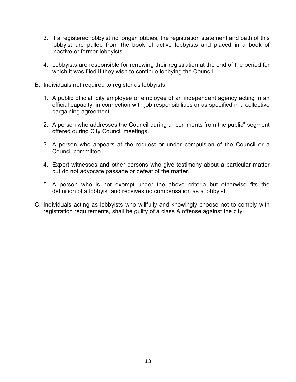- 3. If a registered lobbyist no longer lobbies, the registration statement and oath of this lobbyist are pulled from the book of active lobbyists and placed in a book of inactive or former lobbyists.
- 4. Lobbyists are responsible for renewing their registration at the end of the period for which it was filed if they wish to continue lobbying the Council.
- B. Individuals not required to register as lobbyists:
	- 1. A public official, city employee or employee of an independent agency acting in an official capacity, in connection with job responsibilities or as specified in a collective bargaining agreement.
	- 2. A person who addresses the Council during a "comments from the public" segment offered during City Council meetings.
	- 3. A person who appears at the request or under compulsion of the Council or a Council committee.
	- 4. Expert witnesses and other persons who give testimony about a particular matter but do not advocate passage or defeat of the matter.
	- 5. A person who is not exempt under the above criteria but otherwise fits the definition of a lobbyist and receives no compensation as a lobbyist.
- C. Individuals acting as lobbyists who willfully and knowingly choose not to comply with registration requirements, shall be guilty of a class A offense against the city.